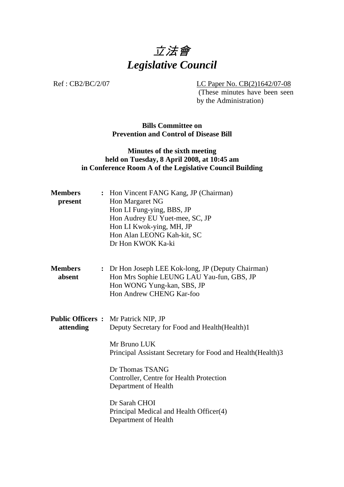

Ref : CB2/BC/2/07 LC Paper No. CB(2)1642/07-08

.(These minutes have been seen by the Administration)

**Bills Committee on Prevention and Control of Disease Bill** 

## **Minutes of the sixth meeting held on Tuesday, 8 April 2008, at 10:45 am in Conference Room A of the Legislative Council Building**

| <b>Members</b><br>present | : Hon Vincent FANG Kang, JP (Chairman)<br>Hon Margaret NG<br>Hon LI Fung-ying, BBS, JP<br>Hon Audrey EU Yuet-mee, SC, JP<br>Hon LI Kwok-ying, MH, JP<br>Hon Alan LEONG Kah-kit, SC<br>Dr Hon KWOK Ka-ki                                                                                                                                                |
|---------------------------|--------------------------------------------------------------------------------------------------------------------------------------------------------------------------------------------------------------------------------------------------------------------------------------------------------------------------------------------------------|
| <b>Members</b><br>absent  | : Dr Hon Joseph LEE Kok-long, JP (Deputy Chairman)<br>Hon Mrs Sophie LEUNG LAU Yau-fun, GBS, JP<br>Hon WONG Yung-kan, SBS, JP<br>Hon Andrew CHENG Kar-foo                                                                                                                                                                                              |
| attending                 | <b>Public Officers:</b> Mr Patrick NIP, JP<br>Deputy Secretary for Food and Health(Health)1<br>Mr Bruno LUK<br>Principal Assistant Secretary for Food and Health (Health) 3<br>Dr Thomas TSANG<br>Controller, Centre for Health Protection<br>Department of Health<br>Dr Sarah CHOI<br>Principal Medical and Health Officer(4)<br>Department of Health |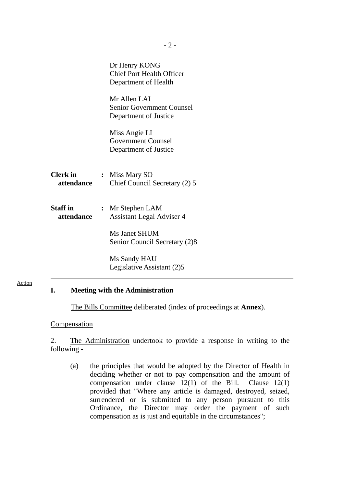|                               | Dr Henry KONG<br><b>Chief Port Health Officer</b><br>Department of Health |
|-------------------------------|---------------------------------------------------------------------------|
|                               | Mr Allen LAI<br><b>Senior Government Counsel</b><br>Department of Justice |
|                               | Miss Angie LI<br><b>Government Counsel</b><br>Department of Justice       |
| <b>Clerk</b> in<br>attendance | : Miss Mary SO<br>Chief Council Secretary (2) 5                           |
| <b>Staff</b> in<br>attendance | : Mr Stephen LAM<br><b>Assistant Legal Adviser 4</b>                      |
|                               | <b>Ms Janet SHUM</b><br>Senior Council Secretary (2)8                     |
|                               | Ms Sandy HAU<br>Legislative Assistant (2)5                                |

#### Action

### **I. Meeting with the Administration**

The Bills Committee deliberated (index of proceedings at **Annex**).

#### **Compensation**

2. The Administration undertook to provide a response in writing to the following -

(a) the principles that would be adopted by the Director of Health in deciding whether or not to pay compensation and the amount of compensation under clause 12(1) of the Bill. Clause 12(1) provided that "Where any article is damaged, destroyed, seized, surrendered or is submitted to any person pursuant to this Ordinance, the Director may order the payment of such compensation as is just and equitable in the circumstances";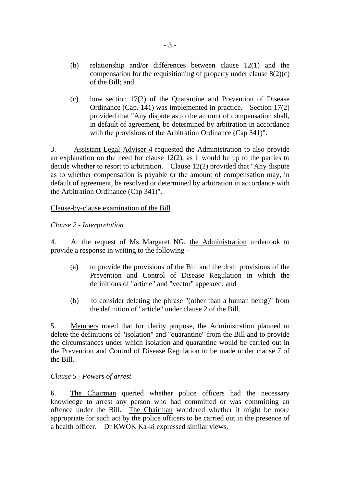- (b) relationship and/or differences between clause 12(1) and the compensation for the requisitioning of property under clause  $8(2)(c)$ of the Bill; and
- (c) how section 17(2) of the Quarantine and Prevention of Disease Ordinance (Cap. 141) was implemented in practice. Section 17(2) provided that "Any dispute as to the amount of compensation shall, in default of agreement, be determined by arbitration in accordance with the provisions of the Arbitration Ordinance (Cap 341)".

3. Assistant Legal Adviser 4 requested the Administration to also provide an explanation on the need for clause 12(2), as it would be up to the parties to decide whether to resort to arbitration. Clause 12(2) provided that "Any dispute as to whether compensation is payable or the amount of compensation may, in default of agreement, be resolved or determined by arbitration in accordance with the Arbitration Ordinance (Cap 341)".

#### Clause-by-clause examination of the Bill

#### *Clause 2 - Interpretation*

4. At the request of Ms Margaret NG, the Administration undertook to provide a response in writing to the following -

- (a) to provide the provisions of the Bill and the draft provisions of the Prevention and Control of Disease Regulation in which the definitions of "article" and "vector" appeared; and
- (b) to consider deleting the phrase "(other than a human being)" from the definition of "article" under clause 2 of the Bill.

5. Members noted that for clarity purpose, the Administration planned to delete the definitions of "isolation" and "quarantine" from the Bill and to provide the circumstances under which isolation and quarantine would be carried out in the Prevention and Control of Disease Regulation to be made under clause 7 of the Bill.

#### *Clause 5 - Powers of arrest*

6. The Chairman queried whether police officers had the necessary knowledge to arrest any person who had committed or was committing an offence under the Bill. The Chairman wondered whether it might be more appropriate for such act by the police officers to be carried out in the presence of a health officer. Dr KWOK Ka-ki expressed similar views.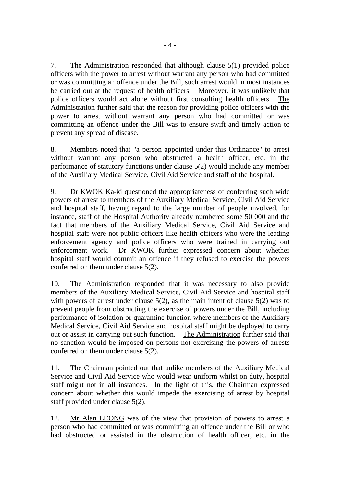7. The Administration responded that although clause 5(1) provided police officers with the power to arrest without warrant any person who had committed or was committing an offence under the Bill, such arrest would in most instances be carried out at the request of health officers. Moreover, it was unlikely that police officers would act alone without first consulting health officers. The Administration further said that the reason for providing police officers with the power to arrest without warrant any person who had committed or was committing an offence under the Bill was to ensure swift and timely action to prevent any spread of disease.

8. Members noted that "a person appointed under this Ordinance" to arrest without warrant any person who obstructed a health officer, etc. in the performance of statutory functions under clause 5(2) would include any member of the Auxiliary Medical Service, Civil Aid Service and staff of the hospital.

9. Dr KWOK Ka-ki questioned the appropriateness of conferring such wide powers of arrest to members of the Auxiliary Medical Service, Civil Aid Service and hospital staff, having regard to the large number of people involved, for instance, staff of the Hospital Authority already numbered some 50 000 and the fact that members of the Auxiliary Medical Service, Civil Aid Service and hospital staff were not public officers like health officers who were the leading enforcement agency and police officers who were trained in carrying out enforcement work. Dr KWOK further expressed concern about whether hospital staff would commit an offence if they refused to exercise the powers conferred on them under clause 5(2).

10. The Administration responded that it was necessary to also provide members of the Auxiliary Medical Service, Civil Aid Service and hospital staff with powers of arrest under clause  $5(2)$ , as the main intent of clause  $5(2)$  was to prevent people from obstructing the exercise of powers under the Bill, including performance of isolation or quarantine function where members of the Auxiliary Medical Service, Civil Aid Service and hospital staff might be deployed to carry out or assist in carrying out such function. The Administration further said that no sanction would be imposed on persons not exercising the powers of arrests conferred on them under clause 5(2).

11. The Chairman pointed out that unlike members of the Auxiliary Medical Service and Civil Aid Service who would wear uniform whilst on duty, hospital staff might not in all instances. In the light of this, the Chairman expressed concern about whether this would impede the exercising of arrest by hospital staff provided under clause 5(2).

12. Mr Alan LEONG was of the view that provision of powers to arrest a person who had committed or was committing an offence under the Bill or who had obstructed or assisted in the obstruction of health officer, etc. in the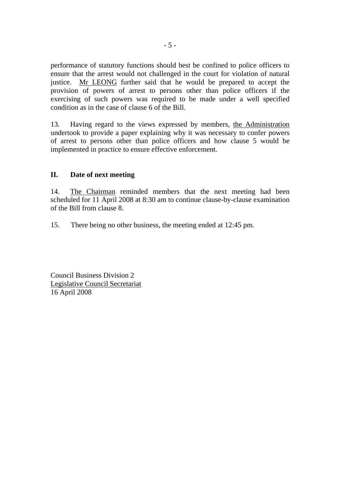performance of statutory functions should best be confined to police officers to ensure that the arrest would not challenged in the court for violation of natural justice. Mr LEONG further said that he would be prepared to accept the provision of powers of arrest to persons other than police officers if the exercising of such powers was required to be made under a well specified condition as in the case of clause 6 of the Bill.

13. Having regard to the views expressed by members, the Administration undertook to provide a paper explaining why it was necessary to confer powers of arrest to persons other than police officers and how clause 5 would be implemented in practice to ensure effective enforcement.

#### **II. Date of next meeting**

14. The Chairman reminded members that the next meeting had been scheduled for 11 April 2008 at 8:30 am to continue clause-by-clause examination of the Bill from clause 8.

15. There being no other business, the meeting ended at 12:45 pm.

Council Business Division 2 Legislative Council Secretariat 16 April 2008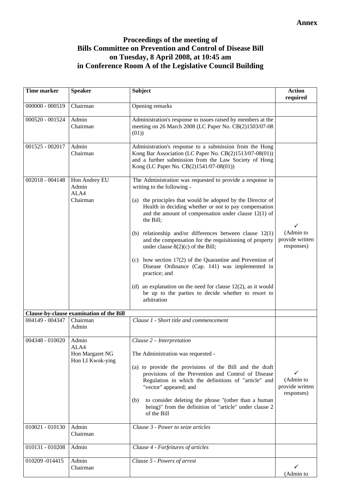# **Proceedings of the meeting of Bills Committee on Prevention and Control of Disease Bill on Tuesday, 8 April 2008, at 10:45 am in Conference Room A of the Legislative Council Building**

| Time marker     | <b>Speaker</b>                                       | <b>Subject</b>                                                                                                                                                                                                                                                                                                                                                                                                                                                                                                                                                                                                                                                                                                                     | <b>Action</b><br>required                       |
|-----------------|------------------------------------------------------|------------------------------------------------------------------------------------------------------------------------------------------------------------------------------------------------------------------------------------------------------------------------------------------------------------------------------------------------------------------------------------------------------------------------------------------------------------------------------------------------------------------------------------------------------------------------------------------------------------------------------------------------------------------------------------------------------------------------------------|-------------------------------------------------|
| 000000 - 000519 | Chairman                                             | Opening remarks                                                                                                                                                                                                                                                                                                                                                                                                                                                                                                                                                                                                                                                                                                                    |                                                 |
| 000520 - 001524 | Admin<br>Chairman                                    | Administration's response to issues raised by members at the<br>meeting on 26 March 2008 (LC Paper No. CB(2)1503/07-08<br>(01)                                                                                                                                                                                                                                                                                                                                                                                                                                                                                                                                                                                                     |                                                 |
| 001525 - 002017 | Admin<br>Chairman                                    | Administration's response to a submission from the Hong<br>Kong Bar Association (LC Paper No. CB(2)1513/07-08(01))<br>and a further submission from the Law Society of Hong<br>Kong (LC Paper No. CB(2)1541/07-08(01))                                                                                                                                                                                                                                                                                                                                                                                                                                                                                                             |                                                 |
| 002018 - 004148 | Hon Andrey EU<br>Admin<br>ALA4<br>Chairman           | The Administration was requested to provide a response in<br>writing to the following -<br>(a) the principles that would be adopted by the Director of<br>Health in deciding whether or not to pay compensation<br>and the amount of compensation under clause $12(1)$ of<br>the Bill;<br>(b) relationship and/or differences between clause $12(1)$<br>and the compensation for the requisitioning of property<br>under clause $8(2)(c)$ of the Bill;<br>(c) how section $17(2)$ of the Quarantine and Prevention of<br>Disease Ordinance (Cap. 141) was implemented in<br>practice; and<br>(d) an explanation on the need for clause $12(2)$ , as it would<br>be up to the parties to decide whether to resort to<br>arbitration | ✓<br>(Admin to<br>provide written<br>responses) |
|                 | Clause-by-clause examination of the Bill             |                                                                                                                                                                                                                                                                                                                                                                                                                                                                                                                                                                                                                                                                                                                                    |                                                 |
| 004149 - 004347 | Chairman<br>Admin                                    | Clause 1 - Short title and commencement                                                                                                                                                                                                                                                                                                                                                                                                                                                                                                                                                                                                                                                                                            |                                                 |
| 004348 - 010020 | Admin<br>ALA4<br>Hon Margaret NG<br>Hon LI Kwok-ying | Clause $2$ – Interpretation<br>The Administration was requested -<br>(a) to provide the provisions of the Bill and the draft<br>provisions of the Prevention and Control of Disease<br>Regulation in which the definitions of "article" and<br>"vector" appeared; and<br>to consider deleting the phrase "(other than a human<br>(b)<br>being)" from the definition of "article" under clause 2<br>of the Bill                                                                                                                                                                                                                                                                                                                     | ✓<br>(Admin to<br>provide written<br>responses) |
| 010021 - 010130 | Admin<br>Chairman                                    | Clause 3 - Power to seize articles                                                                                                                                                                                                                                                                                                                                                                                                                                                                                                                                                                                                                                                                                                 |                                                 |
| 010131 - 010208 | Admin                                                | Clause 4 - Forfeitures of articles                                                                                                                                                                                                                                                                                                                                                                                                                                                                                                                                                                                                                                                                                                 |                                                 |
| 010209 -014415  | Admin<br>Chairman                                    | Clause 5 - Powers of arrest                                                                                                                                                                                                                                                                                                                                                                                                                                                                                                                                                                                                                                                                                                        | ✓<br>(Admin to                                  |